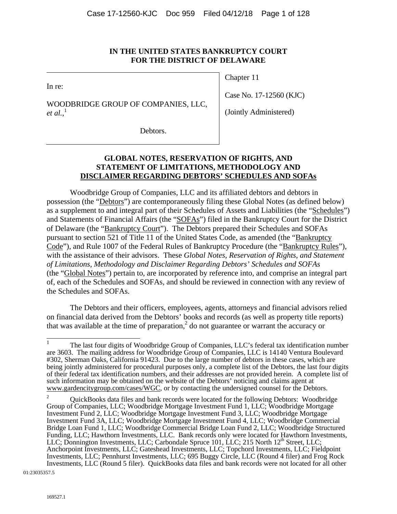## **IN THE UNITED STATES BANKRUPTCY COURT FOR THE DISTRICT OF DELAWARE**

In re:

WOODBRIDGE GROUP OF COMPANIES, LLC, *et al.*, 1

Chapter 11

Case No. 17-12560 (KJC)

(Jointly Administered)

Debtors.

# **GLOBAL NOTES, RESERVATION OF RIGHTS, AND STATEMENT OF LIMITATIONS, METHODOLOGY AND DISCLAIMER REGARDING DEBTORS' SCHEDULES AND SOFAs**

Woodbridge Group of Companies, LLC and its affiliated debtors and debtors in possession (the "Debtors") are contemporaneously filing these Global Notes (as defined below) as a supplement to and integral part of their Schedules of Assets and Liabilities (the "Schedules") and Statements of Financial Affairs (the "SOFAs") filed in the Bankruptcy Court for the District of Delaware (the "Bankruptcy Court"). The Debtors prepared their Schedules and SOFAs pursuant to section 521 of Title 11 of the United States Code, as amended (the "Bankruptcy Code"), and Rule 1007 of the Federal Rules of Bankruptcy Procedure (the "Bankruptcy Rules"), with the assistance of their advisors. These *Global Notes, Reservation of Rights, and Statement of Limitations, Methodology and Disclaimer Regarding Debtors' Schedules and SOFAs* (the "Global Notes") pertain to, are incorporated by reference into, and comprise an integral part of, each of the Schedules and SOFAs, and should be reviewed in connection with any review of the Schedules and SOFAs.

The Debtors and their officers, employees, agents, attorneys and financial advisors relied on financial data derived from the Debtors' books and records (as well as property title reports) that was available at the time of preparation,<sup>2</sup> do not guarantee or warrant the accuracy or

01:23035357.5

 $\mathbf{1}$ <sup>1</sup> The last four digits of Woodbridge Group of Companies, LLC's federal tax identification number are 3603. The mailing address for Woodbridge Group of Companies, LLC is 14140 Ventura Boulevard #302, Sherman Oaks, California 91423. Due to the large number of debtors in these cases, which are being jointly administered for procedural purposes only, a complete list of the Debtors, the last four digits of their federal tax identification numbers, and their addresses are not provided herein. A complete list of such information may be obtained on the website of the Debtors' noticing and claims agent at www.gardencitygroup.com/cases/WGC, or by contacting the undersigned counsel for the Debtors.

<sup>2</sup> QuickBooks data files and bank records were located for the following Debtors: Woodbridge Group of Companies, LLC; Woodbridge Mortgage Investment Fund 1, LLC; Woodbridge Mortgage Investment Fund 2, LLC; Woodbridge Mortgage Investment Fund 3, LLC; Woodbridge Mortgage Investment Fund 3A, LLC; Woodbridge Mortgage Investment Fund 4, LLC; Woodbridge Commercial Bridge Loan Fund 1, LLC; Woodbridge Commercial Bridge Loan Fund 2, LLC; Woodbridge Structured Funding, LLC; Hawthorn Investments, LLC. Bank records only were located for Hawthorn Investments, LLC; Donnington Investments, LLC; Carbondale Spruce 101, LLC; 215 North 12<sup>th</sup> Street, LLC; Anchorpoint Investments, LLC; Gateshead Investments, LLC; Topchord Investments, LLC; Fieldpoint Investments, LLC; Pennhurst Investments, LLC; 695 Buggy Circle, LLC (Round 4 filer) and Frog Rock Investments, LLC (Round 5 filer). QuickBooks data files and bank records were not located for all other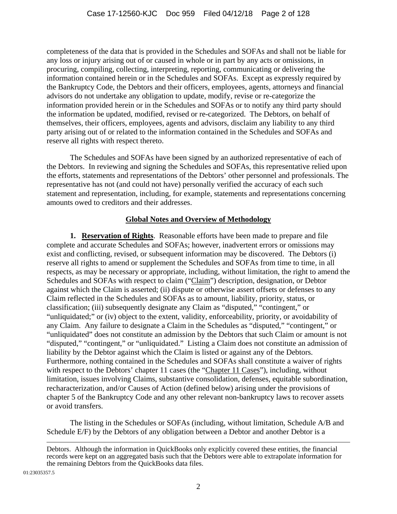completeness of the data that is provided in the Schedules and SOFAs and shall not be liable for any loss or injury arising out of or caused in whole or in part by any acts or omissions, in procuring, compiling, collecting, interpreting, reporting, communicating or delivering the information contained herein or in the Schedules and SOFAs. Except as expressly required by the Bankruptcy Code, the Debtors and their officers, employees, agents, attorneys and financial advisors do not undertake any obligation to update, modify, revise or re-categorize the information provided herein or in the Schedules and SOFAs or to notify any third party should the information be updated, modified, revised or re-categorized. The Debtors, on behalf of themselves, their officers, employees, agents and advisors, disclaim any liability to any third party arising out of or related to the information contained in the Schedules and SOFAs and reserve all rights with respect thereto.

The Schedules and SOFAs have been signed by an authorized representative of each of the Debtors. In reviewing and signing the Schedules and SOFAs, this representative relied upon the efforts, statements and representations of the Debtors' other personnel and professionals. The representative has not (and could not have) personally verified the accuracy of each such statement and representation, including, for example, statements and representations concerning amounts owed to creditors and their addresses.

# **Global Notes and Overview of Methodology**

**1. Reservation of Rights**. Reasonable efforts have been made to prepare and file complete and accurate Schedules and SOFAs; however, inadvertent errors or omissions may exist and conflicting, revised, or subsequent information may be discovered. The Debtors (i) reserve all rights to amend or supplement the Schedules and SOFAs from time to time, in all respects, as may be necessary or appropriate, including, without limitation, the right to amend the Schedules and SOFAs with respect to claim ("Claim") description, designation, or Debtor against which the Claim is asserted; (ii) dispute or otherwise assert offsets or defenses to any Claim reflected in the Schedules and SOFAs as to amount, liability, priority, status, or classification; (iii) subsequently designate any Claim as "disputed," "contingent," or "unliquidated;" or (iv) object to the extent, validity, enforceability, priority, or avoidability of any Claim. Any failure to designate a Claim in the Schedules as "disputed," "contingent," or "unliquidated" does not constitute an admission by the Debtors that such Claim or amount is not "disputed," "contingent," or "unliquidated." Listing a Claim does not constitute an admission of liability by the Debtor against which the Claim is listed or against any of the Debtors. Furthermore, nothing contained in the Schedules and SOFAs shall constitute a waiver of rights with respect to the Debtors' chapter 11 cases (the "Chapter 11 Cases"), including, without limitation, issues involving Claims, substantive consolidation, defenses, equitable subordination, recharacterization, and/or Causes of Action (defined below) arising under the provisions of chapter 5 of the Bankruptcy Code and any other relevant non-bankruptcy laws to recover assets or avoid transfers.

The listing in the Schedules or SOFAs (including, without limitation, Schedule A/B and Schedule E/F) by the Debtors of any obligation between a Debtor and another Debtor is a

01:23035357.5

Debtors. Although the information in QuickBooks only explicitly covered these entities, the financial records were kept on an aggregated basis such that the Debtors were able to extrapolate information for the remaining Debtors from the QuickBooks data files.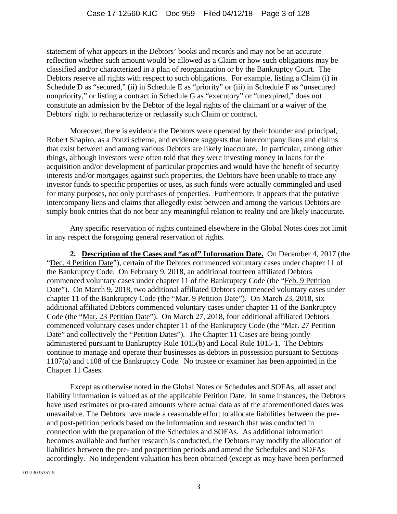statement of what appears in the Debtors' books and records and may not be an accurate reflection whether such amount would be allowed as a Claim or how such obligations may be classified and/or characterized in a plan of reorganization or by the Bankruptcy Court. The Debtors reserve all rights with respect to such obligations. For example, listing a Claim (i) in Schedule D as "secured," (ii) in Schedule E as "priority" or (iii) in Schedule F as "unsecured nonpriority," or listing a contract in Schedule G as "executory" or "unexpired," does not constitute an admission by the Debtor of the legal rights of the claimant or a waiver of the Debtors' right to recharacterize or reclassify such Claim or contract.

Moreover, there is evidence the Debtors were operated by their founder and principal, Robert Shapiro, as a Ponzi scheme, and evidence suggests that intercompany liens and claims that exist between and among various Debtors are likely inaccurate. In particular, among other things, although investors were often told that they were investing money in loans for the acquisition and/or development of particular properties and would have the benefit of security interests and/or mortgages against such properties, the Debtors have been unable to trace any investor funds to specific properties or uses, as such funds were actually commingled and used for many purposes, not only purchases of properties. Furthermore, it appears that the putative intercompany liens and claims that allegedly exist between and among the various Debtors are simply book entries that do not bear any meaningful relation to reality and are likely inaccurate.

Any specific reservation of rights contained elsewhere in the Global Notes does not limit in any respect the foregoing general reservation of rights.

**2. Description of the Cases and "as of" Information Date.** On December 4, 2017 (the "Dec. 4 Petition Date"), certain of the Debtors commenced voluntary cases under chapter 11 of the Bankruptcy Code. On February 9, 2018, an additional fourteen affiliated Debtors commenced voluntary cases under chapter 11 of the Bankruptcy Code (the "Feb. 9 Petition Date"). On March 9, 2018, two additional affiliated Debtors commenced voluntary cases under chapter 11 of the Bankruptcy Code (the "Mar. 9 Petition Date"). On March 23, 2018, six additional affiliated Debtors commenced voluntary cases under chapter 11 of the Bankruptcy Code (the "Mar. 23 Petition Date"). On March 27, 2018, four additional affiliated Debtors commenced voluntary cases under chapter 11 of the Bankruptcy Code (the "Mar. 27 Petition Date" and collectively the "Petition Dates"). The Chapter 11 Cases are being jointly administered pursuant to Bankruptcy Rule 1015(b) and Local Rule 1015-1. The Debtors continue to manage and operate their businesses as debtors in possession pursuant to Sections 1107(a) and 1108 of the Bankruptcy Code. No trustee or examiner has been appointed in the Chapter 11 Cases.

Except as otherwise noted in the Global Notes or Schedules and SOFAs, all asset and liability information is valued as of the applicable Petition Date. In some instances, the Debtors have used estimates or pro-rated amounts where actual data as of the aforementioned dates was unavailable. The Debtors have made a reasonable effort to allocate liabilities between the preand post-petition periods based on the information and research that was conducted in connection with the preparation of the Schedules and SOFAs. As additional information becomes available and further research is conducted, the Debtors may modify the allocation of liabilities between the pre- and postpetition periods and amend the Schedules and SOFAs accordingly. No independent valuation has been obtained (except as may have been performed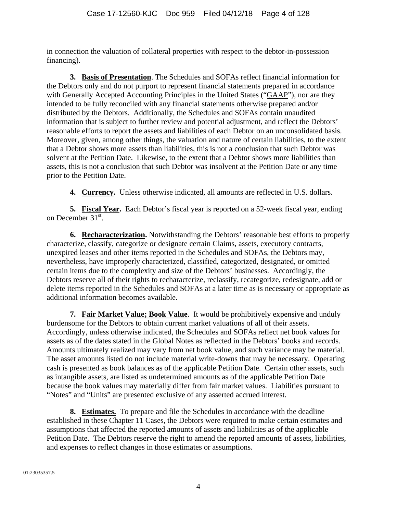in connection the valuation of collateral properties with respect to the debtor-in-possession financing).

**3. Basis of Presentation**. The Schedules and SOFAs reflect financial information for the Debtors only and do not purport to represent financial statements prepared in accordance with Generally Accepted Accounting Principles in the United States ("GAAP"), nor are they intended to be fully reconciled with any financial statements otherwise prepared and/or distributed by the Debtors. Additionally, the Schedules and SOFAs contain unaudited information that is subject to further review and potential adjustment, and reflect the Debtors' reasonable efforts to report the assets and liabilities of each Debtor on an unconsolidated basis. Moreover, given, among other things, the valuation and nature of certain liabilities, to the extent that a Debtor shows more assets than liabilities, this is not a conclusion that such Debtor was solvent at the Petition Date. Likewise, to the extent that a Debtor shows more liabilities than assets, this is not a conclusion that such Debtor was insolvent at the Petition Date or any time prior to the Petition Date.

**4. Currency.** Unless otherwise indicated, all amounts are reflected in U.S. dollars.

**5. Fiscal Year.** Each Debtor's fiscal year is reported on a 52-week fiscal year, ending on December  $31<sup>st</sup>$ .

**6. Recharacterization.** Notwithstanding the Debtors' reasonable best efforts to properly characterize, classify, categorize or designate certain Claims, assets, executory contracts, unexpired leases and other items reported in the Schedules and SOFAs, the Debtors may, nevertheless, have improperly characterized, classified, categorized, designated, or omitted certain items due to the complexity and size of the Debtors' businesses. Accordingly, the Debtors reserve all of their rights to recharacterize, reclassify, recategorize, redesignate, add or delete items reported in the Schedules and SOFAs at a later time as is necessary or appropriate as additional information becomes available.

**7. Fair Market Value; Book Value**. It would be prohibitively expensive and unduly burdensome for the Debtors to obtain current market valuations of all of their assets. Accordingly, unless otherwise indicated, the Schedules and SOFAs reflect net book values for assets as of the dates stated in the Global Notes as reflected in the Debtors' books and records. Amounts ultimately realized may vary from net book value, and such variance may be material. The asset amounts listed do not include material write-downs that may be necessary. Operating cash is presented as book balances as of the applicable Petition Date. Certain other assets, such as intangible assets, are listed as undetermined amounts as of the applicable Petition Date because the book values may materially differ from fair market values. Liabilities pursuant to "Notes" and "Units" are presented exclusive of any asserted accrued interest.

**8. Estimates.** To prepare and file the Schedules in accordance with the deadline established in these Chapter 11 Cases, the Debtors were required to make certain estimates and assumptions that affected the reported amounts of assets and liabilities as of the applicable Petition Date. The Debtors reserve the right to amend the reported amounts of assets, liabilities, and expenses to reflect changes in those estimates or assumptions.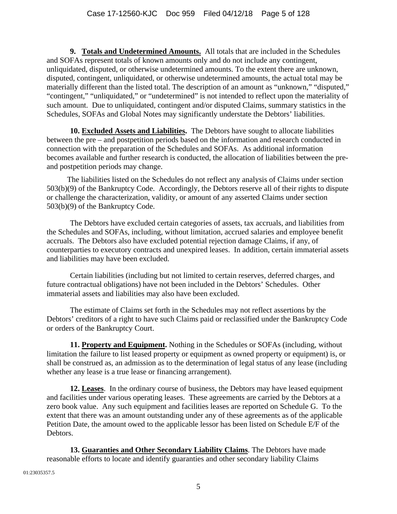**9. Totals and Undetermined Amounts.** All totals that are included in the Schedules and SOFAs represent totals of known amounts only and do not include any contingent, unliquidated, disputed, or otherwise undetermined amounts. To the extent there are unknown, disputed, contingent, unliquidated, or otherwise undetermined amounts, the actual total may be materially different than the listed total. The description of an amount as "unknown," "disputed," "contingent," "unliquidated," or "undetermined" is not intended to reflect upon the materiality of such amount. Due to unliquidated, contingent and/or disputed Claims, summary statistics in the Schedules, SOFAs and Global Notes may significantly understate the Debtors' liabilities.

**10. Excluded Assets and Liabilities.** The Debtors have sought to allocate liabilities between the pre – and postpetition periods based on the information and research conducted in connection with the preparation of the Schedules and SOFAs. As additional information becomes available and further research is conducted, the allocation of liabilities between the preand postpetition periods may change.

The liabilities listed on the Schedules do not reflect any analysis of Claims under section 503(b)(9) of the Bankruptcy Code. Accordingly, the Debtors reserve all of their rights to dispute or challenge the characterization, validity, or amount of any asserted Claims under section 503(b)(9) of the Bankruptcy Code.

The Debtors have excluded certain categories of assets, tax accruals, and liabilities from the Schedules and SOFAs, including, without limitation, accrued salaries and employee benefit accruals. The Debtors also have excluded potential rejection damage Claims, if any, of counterparties to executory contracts and unexpired leases. In addition, certain immaterial assets and liabilities may have been excluded.

Certain liabilities (including but not limited to certain reserves, deferred charges, and future contractual obligations) have not been included in the Debtors' Schedules. Other immaterial assets and liabilities may also have been excluded.

The estimate of Claims set forth in the Schedules may not reflect assertions by the Debtors' creditors of a right to have such Claims paid or reclassified under the Bankruptcy Code or orders of the Bankruptcy Court.

**11. Property and Equipment.** Nothing in the Schedules or SOFAs (including, without limitation the failure to list leased property or equipment as owned property or equipment) is, or shall be construed as, an admission as to the determination of legal status of any lease (including whether any lease is a true lease or financing arrangement).

**12. Leases**. In the ordinary course of business, the Debtors may have leased equipment and facilities under various operating leases. These agreements are carried by the Debtors at a zero book value. Any such equipment and facilities leases are reported on Schedule G. To the extent that there was an amount outstanding under any of these agreements as of the applicable Petition Date, the amount owed to the applicable lessor has been listed on Schedule E/F of the Debtors.

**13. Guaranties and Other Secondary Liability Claims**. The Debtors have made reasonable efforts to locate and identify guaranties and other secondary liability Claims

01:23035357.5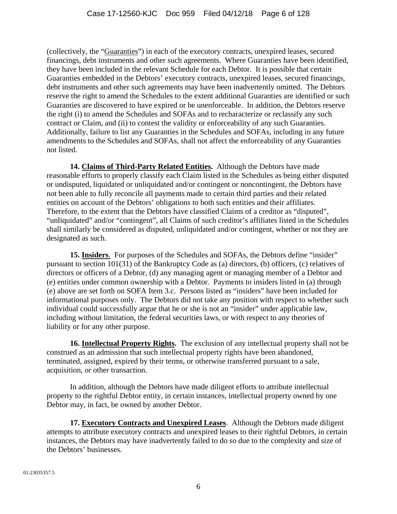(collectively, the "Guaranties") in each of the executory contracts, unexpired leases, secured financings, debt instruments and other such agreements. Where Guaranties have been identified, they have been included in the relevant Schedule for each Debtor. It is possible that certain Guaranties embedded in the Debtors' executory contracts, unexpired leases, secured financings, debt instruments and other such agreements may have been inadvertently omitted. The Debtors reserve the right to amend the Schedules to the extent additional Guaranties are identified or such Guaranties are discovered to have expired or be unenforceable. In addition, the Debtors reserve the right (i) to amend the Schedules and SOFAs and to recharacterize or reclassify any such contract or Claim, and (ii) to contest the validity or enforceability of any such Guaranties. Additionally, failure to list any Guaranties in the Schedules and SOFAs, including in any future amendments to the Schedules and SOFAs, shall not affect the enforceability of any Guaranties not listed.

**14. Claims of Third-Party Related Entities.** Although the Debtors have made reasonable efforts to properly classify each Claim listed in the Schedules as being either disputed or undisputed, liquidated or unliquidated and/or contingent or noncontingent, the Debtors have not been able to fully reconcile all payments made to certain third parties and their related entities on account of the Debtors' obligations to both such entities and their affiliates. Therefore, to the extent that the Debtors have classified Claims of a creditor as "disputed", "unliquidated" and/or "contingent", all Claims of such creditor's affiliates listed in the Schedules shall similarly be considered as disputed, unliquidated and/or contingent, whether or not they are designated as such.

**15. Insiders**. For purposes of the Schedules and SOFAs, the Debtors define "insider" pursuant to section 101(31) of the Bankruptcy Code as (a) directors, (b) officers, (c) relatives of directors or officers of a Debtor, (d) any managing agent or managing member of a Debtor and (e) entities under common ownership with a Debtor. Payments to insiders listed in (a) through (e) above are set forth on SOFA Item 3.c. Persons listed as "insiders" have been included for informational purposes only. The Debtors did not take any position with respect to whether such individual could successfully argue that he or she is not an "insider" under applicable law, including without limitation, the federal securities laws, or with respect to any theories of liability or for any other purpose.

**16. Intellectual Property Rights.** The exclusion of any intellectual property shall not be construed as an admission that such intellectual property rights have been abandoned, terminated, assigned, expired by their terms, or otherwise transferred pursuant to a sale, acquisition, or other transaction.

In addition, although the Debtors have made diligent efforts to attribute intellectual property to the rightful Debtor entity, in certain instances, intellectual property owned by one Debtor may, in fact, be owned by another Debtor.

**17. Executory Contracts and Unexpired Leases**. Although the Debtors made diligent attempts to attribute executory contracts and unexpired leases to their rightful Debtors, in certain instances, the Debtors may have inadvertently failed to do so due to the complexity and size of the Debtors' businesses.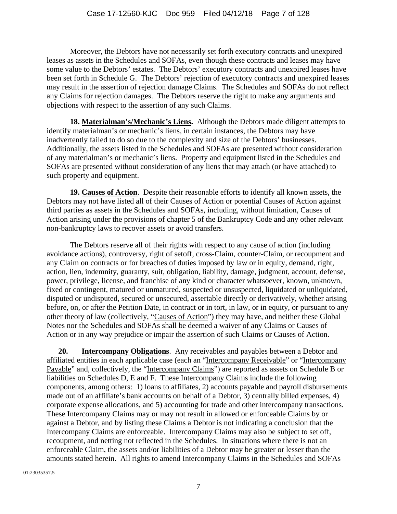Moreover, the Debtors have not necessarily set forth executory contracts and unexpired leases as assets in the Schedules and SOFAs, even though these contracts and leases may have some value to the Debtors' estates. The Debtors' executory contracts and unexpired leases have been set forth in Schedule G. The Debtors' rejection of executory contracts and unexpired leases may result in the assertion of rejection damage Claims. The Schedules and SOFAs do not reflect any Claims for rejection damages. The Debtors reserve the right to make any arguments and objections with respect to the assertion of any such Claims.

**18. Materialman's/Mechanic's Liens.** Although the Debtors made diligent attempts to identify materialman's or mechanic's liens, in certain instances, the Debtors may have inadvertently failed to do so due to the complexity and size of the Debtors' businesses. Additionally, the assets listed in the Schedules and SOFAs are presented without consideration of any materialman's or mechanic's liens. Property and equipment listed in the Schedules and SOFAs are presented without consideration of any liens that may attach (or have attached) to such property and equipment.

**19. Causes of Action**. Despite their reasonable efforts to identify all known assets, the Debtors may not have listed all of their Causes of Action or potential Causes of Action against third parties as assets in the Schedules and SOFAs, including, without limitation, Causes of Action arising under the provisions of chapter 5 of the Bankruptcy Code and any other relevant non-bankruptcy laws to recover assets or avoid transfers.

The Debtors reserve all of their rights with respect to any cause of action (including avoidance actions), controversy, right of setoff, cross-Claim, counter-Claim, or recoupment and any Claim on contracts or for breaches of duties imposed by law or in equity, demand, right, action, lien, indemnity, guaranty, suit, obligation, liability, damage, judgment, account, defense, power, privilege, license, and franchise of any kind or character whatsoever, known, unknown, fixed or contingent, matured or unmatured, suspected or unsuspected, liquidated or unliquidated, disputed or undisputed, secured or unsecured, assertable directly or derivatively, whether arising before, on, or after the Petition Date, in contract or in tort, in law, or in equity, or pursuant to any other theory of law (collectively, "Causes of Action") they may have, and neither these Global Notes nor the Schedules and SOFAs shall be deemed a waiver of any Claims or Causes of Action or in any way prejudice or impair the assertion of such Claims or Causes of Action.

**20. Intercompany Obligations**. Any receivables and payables between a Debtor and affiliated entities in each applicable case (each an "Intercompany Receivable" or "Intercompany Payable" and, collectively, the "Intercompany Claims") are reported as assets on Schedule B or liabilities on Schedules D, E and F. These Intercompany Claims include the following components, among others: 1) loans to affiliates, 2) accounts payable and payroll disbursements made out of an affiliate's bank accounts on behalf of a Debtor, 3) centrally billed expenses, 4) corporate expense allocations, and 5) accounting for trade and other intercompany transactions. These Intercompany Claims may or may not result in allowed or enforceable Claims by or against a Debtor, and by listing these Claims a Debtor is not indicating a conclusion that the Intercompany Claims are enforceable. Intercompany Claims may also be subject to set off, recoupment, and netting not reflected in the Schedules. In situations where there is not an enforceable Claim, the assets and/or liabilities of a Debtor may be greater or lesser than the amounts stated herein. All rights to amend Intercompany Claims in the Schedules and SOFAs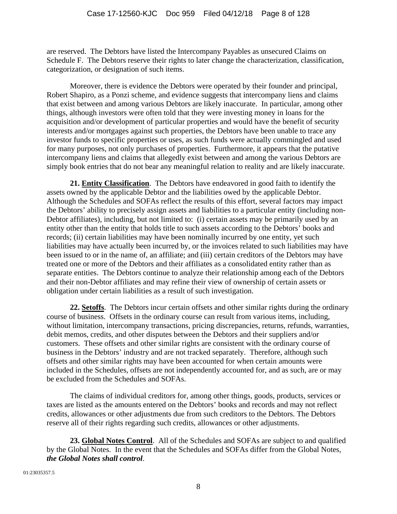are reserved. The Debtors have listed the Intercompany Payables as unsecured Claims on Schedule F. The Debtors reserve their rights to later change the characterization, classification, categorization, or designation of such items.

 Moreover, there is evidence the Debtors were operated by their founder and principal, Robert Shapiro, as a Ponzi scheme, and evidence suggests that intercompany liens and claims that exist between and among various Debtors are likely inaccurate. In particular, among other things, although investors were often told that they were investing money in loans for the acquisition and/or development of particular properties and would have the benefit of security interests and/or mortgages against such properties, the Debtors have been unable to trace any investor funds to specific properties or uses, as such funds were actually commingled and used for many purposes, not only purchases of properties. Furthermore, it appears that the putative intercompany liens and claims that allegedly exist between and among the various Debtors are simply book entries that do not bear any meaningful relation to reality and are likely inaccurate.

**21. Entity Classification**. The Debtors have endeavored in good faith to identify the assets owned by the applicable Debtor and the liabilities owed by the applicable Debtor. Although the Schedules and SOFAs reflect the results of this effort, several factors may impact the Debtors' ability to precisely assign assets and liabilities to a particular entity (including non-Debtor affiliates), including, but not limited to: (i) certain assets may be primarily used by an entity other than the entity that holds title to such assets according to the Debtors' books and records; (ii) certain liabilities may have been nominally incurred by one entity, yet such liabilities may have actually been incurred by, or the invoices related to such liabilities may have been issued to or in the name of, an affiliate; and (iii) certain creditors of the Debtors may have treated one or more of the Debtors and their affiliates as a consolidated entity rather than as separate entities. The Debtors continue to analyze their relationship among each of the Debtors and their non-Debtor affiliates and may refine their view of ownership of certain assets or obligation under certain liabilities as a result of such investigation.

**22. Setoffs**. The Debtors incur certain offsets and other similar rights during the ordinary course of business. Offsets in the ordinary course can result from various items, including, without limitation, intercompany transactions, pricing discrepancies, returns, refunds, warranties, debit memos, credits, and other disputes between the Debtors and their suppliers and/or customers. These offsets and other similar rights are consistent with the ordinary course of business in the Debtors' industry and are not tracked separately. Therefore, although such offsets and other similar rights may have been accounted for when certain amounts were included in the Schedules, offsets are not independently accounted for, and as such, are or may be excluded from the Schedules and SOFAs.

The claims of individual creditors for, among other things, goods, products, services or taxes are listed as the amounts entered on the Debtors' books and records and may not reflect credits, allowances or other adjustments due from such creditors to the Debtors. The Debtors reserve all of their rights regarding such credits, allowances or other adjustments.

**23. Global Notes Control**. All of the Schedules and SOFAs are subject to and qualified by the Global Notes. In the event that the Schedules and SOFAs differ from the Global Notes, *the Global Notes shall control*.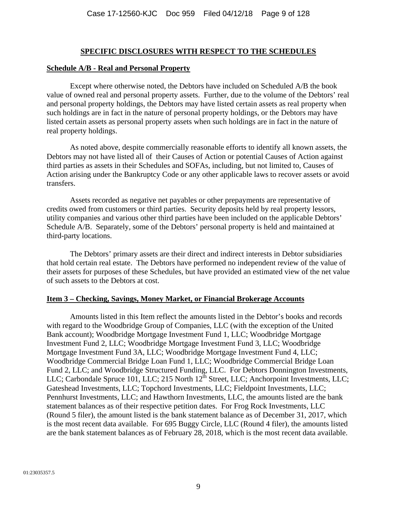#### **SPECIFIC DISCLOSURES WITH RESPECT TO THE SCHEDULES**

#### **Schedule A/B - Real and Personal Property**

Except where otherwise noted, the Debtors have included on Scheduled A/B the book value of owned real and personal property assets. Further, due to the volume of the Debtors' real and personal property holdings, the Debtors may have listed certain assets as real property when such holdings are in fact in the nature of personal property holdings, or the Debtors may have listed certain assets as personal property assets when such holdings are in fact in the nature of real property holdings.

As noted above, despite commercially reasonable efforts to identify all known assets, the Debtors may not have listed all of their Causes of Action or potential Causes of Action against third parties as assets in their Schedules and SOFAs, including, but not limited to, Causes of Action arising under the Bankruptcy Code or any other applicable laws to recover assets or avoid transfers.

Assets recorded as negative net payables or other prepayments are representative of credits owed from customers or third parties. Security deposits held by real property lessors, utility companies and various other third parties have been included on the applicable Debtors' Schedule A/B. Separately, some of the Debtors' personal property is held and maintained at third-party locations.

The Debtors' primary assets are their direct and indirect interests in Debtor subsidiaries that hold certain real estate. The Debtors have performed no independent review of the value of their assets for purposes of these Schedules, but have provided an estimated view of the net value of such assets to the Debtors at cost.

#### **Item 3 – Checking, Savings, Money Market, or Financial Brokerage Accounts**

 Amounts listed in this Item reflect the amounts listed in the Debtor's books and records with regard to the Woodbridge Group of Companies, LLC (with the exception of the United Bank account); Woodbridge Mortgage Investment Fund 1, LLC; Woodbridge Mortgage Investment Fund 2, LLC; Woodbridge Mortgage Investment Fund 3, LLC; Woodbridge Mortgage Investment Fund 3A, LLC; Woodbridge Mortgage Investment Fund 4, LLC; Woodbridge Commercial Bridge Loan Fund 1, LLC; Woodbridge Commercial Bridge Loan Fund 2, LLC; and Woodbridge Structured Funding, LLC. For Debtors Donnington Investments, LLC; Carbondale Spruce 101, LLC; 215 North 12<sup>th</sup> Street, LLC; Anchorpoint Investments, LLC; Gateshead Investments, LLC; Topchord Investments, LLC; Fieldpoint Investments, LLC; Pennhurst Investments, LLC; and Hawthorn Investments, LLC, the amounts listed are the bank statement balances as of their respective petition dates. For Frog Rock Investments, LLC (Round 5 filer), the amount listed is the bank statement balance as of December 31, 2017, which is the most recent data available. For 695 Buggy Circle, LLC (Round 4 filer), the amounts listed are the bank statement balances as of February 28, 2018, which is the most recent data available.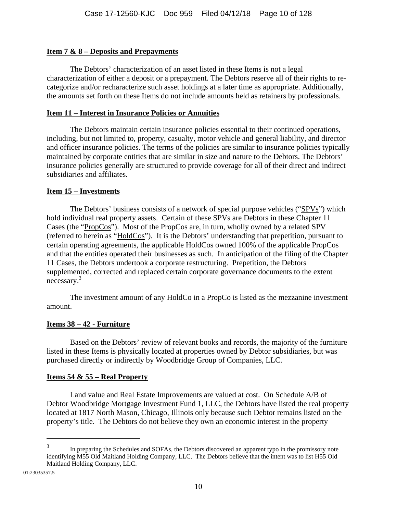# **Item 7 & 8 – Deposits and Prepayments**

The Debtors' characterization of an asset listed in these Items is not a legal characterization of either a deposit or a prepayment. The Debtors reserve all of their rights to recategorize and/or recharacterize such asset holdings at a later time as appropriate. Additionally, the amounts set forth on these Items do not include amounts held as retainers by professionals.

# **Item 11 – Interest in Insurance Policies or Annuities**

 The Debtors maintain certain insurance policies essential to their continued operations, including, but not limited to, property, casualty, motor vehicle and general liability, and director and officer insurance policies. The terms of the policies are similar to insurance policies typically maintained by corporate entities that are similar in size and nature to the Debtors. The Debtors' insurance policies generally are structured to provide coverage for all of their direct and indirect subsidiaries and affiliates.

# **Item 15 – Investments**

The Debtors' business consists of a network of special purpose vehicles ("SPVs") which hold individual real property assets. Certain of these SPVs are Debtors in these Chapter 11 Cases (the "PropCos"). Most of the PropCos are, in turn, wholly owned by a related SPV (referred to herein as "HoldCos"). It is the Debtors' understanding that prepetition, pursuant to certain operating agreements, the applicable HoldCos owned 100% of the applicable PropCos and that the entities operated their businesses as such. In anticipation of the filing of the Chapter 11 Cases, the Debtors undertook a corporate restructuring. Prepetition, the Debtors supplemented, corrected and replaced certain corporate governance documents to the extent necessary.3

The investment amount of any HoldCo in a PropCo is listed as the mezzanine investment amount.

# **Items 38 – 42 - Furniture**

Based on the Debtors' review of relevant books and records, the majority of the furniture listed in these Items is physically located at properties owned by Debtor subsidiaries, but was purchased directly or indirectly by Woodbridge Group of Companies, LLC.

# **Items 54 & 55 – Real Property**

Land value and Real Estate Improvements are valued at cost. On Schedule A/B of Debtor Woodbridge Mortgage Investment Fund 1, LLC, the Debtors have listed the real property located at 1817 North Mason, Chicago, Illinois only because such Debtor remains listed on the property's title. The Debtors do not believe they own an economic interest in the property

 $\overline{a}$ 

<sup>3</sup> In preparing the Schedules and SOFAs, the Debtors discovered an apparent typo in the promissory note identifying M55 Old Maitland Holding Company, LLC. The Debtors believe that the intent was to list H55 Old Maitland Holding Company, LLC.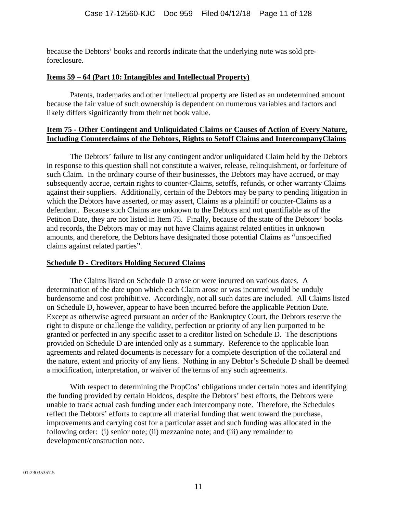because the Debtors' books and records indicate that the underlying note was sold preforeclosure.

## **Items 59 – 64 (Part 10: Intangibles and Intellectual Property)**

Patents, trademarks and other intellectual property are listed as an undetermined amount because the fair value of such ownership is dependent on numerous variables and factors and likely differs significantly from their net book value.

#### **Item 75 - Other Contingent and Unliquidated Claims or Causes of Action of Every Nature, Including Counterclaims of the Debtors, Rights to Setoff Claims and IntercompanyClaims**

The Debtors' failure to list any contingent and/or unliquidated Claim held by the Debtors in response to this question shall not constitute a waiver, release, relinquishment, or forfeiture of such Claim. In the ordinary course of their businesses, the Debtors may have accrued, or may subsequently accrue, certain rights to counter-Claims, setoffs, refunds, or other warranty Claims against their suppliers. Additionally, certain of the Debtors may be party to pending litigation in which the Debtors have asserted, or may assert, Claims as a plaintiff or counter-Claims as a defendant. Because such Claims are unknown to the Debtors and not quantifiable as of the Petition Date, they are not listed in Item 75. Finally, because of the state of the Debtors' books and records, the Debtors may or may not have Claims against related entities in unknown amounts, and therefore, the Debtors have designated those potential Claims as "unspecified claims against related parties".

# **Schedule D - Creditors Holding Secured Claims**

The Claims listed on Schedule D arose or were incurred on various dates. A determination of the date upon which each Claim arose or was incurred would be unduly burdensome and cost prohibitive. Accordingly, not all such dates are included. All Claims listed on Schedule D, however, appear to have been incurred before the applicable Petition Date. Except as otherwise agreed pursuant an order of the Bankruptcy Court, the Debtors reserve the right to dispute or challenge the validity, perfection or priority of any lien purported to be granted or perfected in any specific asset to a creditor listed on Schedule D. The descriptions provided on Schedule D are intended only as a summary. Reference to the applicable loan agreements and related documents is necessary for a complete description of the collateral and the nature, extent and priority of any liens. Nothing in any Debtor's Schedule D shall be deemed a modification, interpretation, or waiver of the terms of any such agreements.

With respect to determining the PropCos' obligations under certain notes and identifying the funding provided by certain Holdcos, despite the Debtors' best efforts, the Debtors were unable to track actual cash funding under each intercompany note. Therefore, the Schedules reflect the Debtors' efforts to capture all material funding that went toward the purchase, improvements and carrying cost for a particular asset and such funding was allocated in the following order: (i) senior note; (ii) mezzanine note; and (iii) any remainder to development/construction note.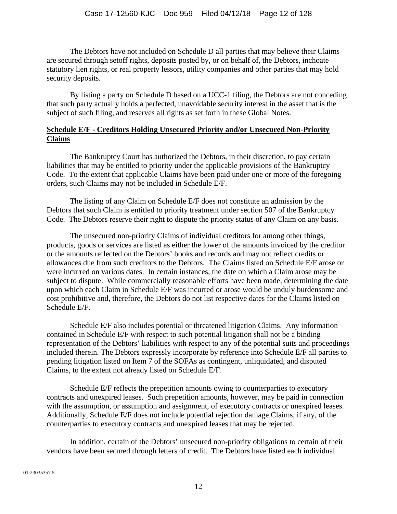The Debtors have not included on Schedule D all parties that may believe their Claims are secured through setoff rights, deposits posted by, or on behalf of, the Debtors, inchoate statutory lien rights, or real property lessors, utility companies and other parties that may hold security deposits.

By listing a party on Schedule D based on a UCC-1 filing, the Debtors are not conceding that such party actually holds a perfected, unavoidable security interest in the asset that is the subject of such filing, and reserves all rights as set forth in these Global Notes.

## **Schedule E/F - Creditors Holding Unsecured Priority and/or Unsecured Non-Priority Claims**

The Bankruptcy Court has authorized the Debtors, in their discretion, to pay certain liabilities that may be entitled to priority under the applicable provisions of the Bankruptcy Code. To the extent that applicable Claims have been paid under one or more of the foregoing orders, such Claims may not be included in Schedule E/F.

The listing of any Claim on Schedule E/F does not constitute an admission by the Debtors that such Claim is entitled to priority treatment under section 507 of the Bankruptcy Code. The Debtors reserve their right to dispute the priority status of any Claim on any basis.

The unsecured non-priority Claims of individual creditors for among other things, products, goods or services are listed as either the lower of the amounts invoiced by the creditor or the amounts reflected on the Debtors' books and records and may not reflect credits or allowances due from such creditors to the Debtors. The Claims listed on Schedule E/F arose or were incurred on various dates. In certain instances, the date on which a Claim arose may be subject to dispute. While commercially reasonable efforts have been made, determining the date upon which each Claim in Schedule E/F was incurred or arose would be unduly burdensome and cost prohibitive and, therefore, the Debtors do not list respective dates for the Claims listed on Schedule E/F.

Schedule E/F also includes potential or threatened litigation Claims. Any information contained in Schedule E/F with respect to such potential litigation shall not be a binding representation of the Debtors' liabilities with respect to any of the potential suits and proceedings included therein. The Debtors expressly incorporate by reference into Schedule E/F all parties to pending litigation listed on Item 7 of the SOFAs as contingent, unliquidated, and disputed Claims, to the extent not already listed on Schedule E/F.

Schedule E/F reflects the prepetition amounts owing to counterparties to executory contracts and unexpired leases. Such prepetition amounts, however, may be paid in connection with the assumption, or assumption and assignment, of executory contracts or unexpired leases. Additionally, Schedule E/F does not include potential rejection damage Claims, if any, of the counterparties to executory contracts and unexpired leases that may be rejected.

In addition, certain of the Debtors' unsecured non-priority obligations to certain of their vendors have been secured through letters of credit. The Debtors have listed each individual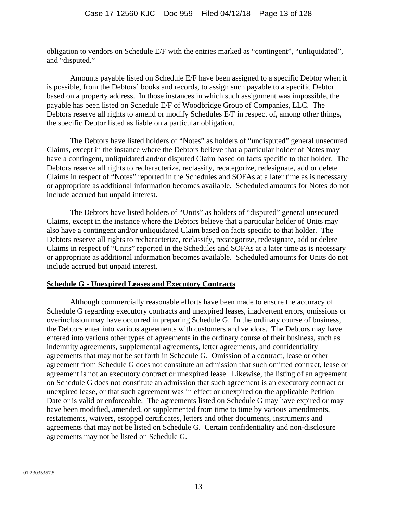obligation to vendors on Schedule E/F with the entries marked as "contingent", "unliquidated", and "disputed."

Amounts payable listed on Schedule E/F have been assigned to a specific Debtor when it is possible, from the Debtors' books and records, to assign such payable to a specific Debtor based on a property address. In those instances in which such assignment was impossible, the payable has been listed on Schedule E/F of Woodbridge Group of Companies, LLC. The Debtors reserve all rights to amend or modify Schedules E/F in respect of, among other things, the specific Debtor listed as liable on a particular obligation.

The Debtors have listed holders of "Notes" as holders of "undisputed" general unsecured Claims, except in the instance where the Debtors believe that a particular holder of Notes may have a contingent, unliquidated and/or disputed Claim based on facts specific to that holder. The Debtors reserve all rights to recharacterize, reclassify, recategorize, redesignate, add or delete Claims in respect of "Notes" reported in the Schedules and SOFAs at a later time as is necessary or appropriate as additional information becomes available. Scheduled amounts for Notes do not include accrued but unpaid interest.

The Debtors have listed holders of "Units" as holders of "disputed" general unsecured Claims, except in the instance where the Debtors believe that a particular holder of Units may also have a contingent and/or unliquidated Claim based on facts specific to that holder. The Debtors reserve all rights to recharacterize, reclassify, recategorize, redesignate, add or delete Claims in respect of "Units" reported in the Schedules and SOFAs at a later time as is necessary or appropriate as additional information becomes available. Scheduled amounts for Units do not include accrued but unpaid interest.

#### **Schedule G - Unexpired Leases and Executory Contracts**

Although commercially reasonable efforts have been made to ensure the accuracy of Schedule G regarding executory contracts and unexpired leases, inadvertent errors, omissions or overinclusion may have occurred in preparing Schedule G. In the ordinary course of business, the Debtors enter into various agreements with customers and vendors. The Debtors may have entered into various other types of agreements in the ordinary course of their business, such as indemnity agreements, supplemental agreements, letter agreements, and confidentiality agreements that may not be set forth in Schedule G. Omission of a contract, lease or other agreement from Schedule G does not constitute an admission that such omitted contract, lease or agreement is not an executory contract or unexpired lease. Likewise, the listing of an agreement on Schedule G does not constitute an admission that such agreement is an executory contract or unexpired lease, or that such agreement was in effect or unexpired on the applicable Petition Date or is valid or enforceable. The agreements listed on Schedule G may have expired or may have been modified, amended, or supplemented from time to time by various amendments, restatements, waivers, estoppel certificates, letters and other documents, instruments and agreements that may not be listed on Schedule G. Certain confidentiality and non-disclosure agreements may not be listed on Schedule G.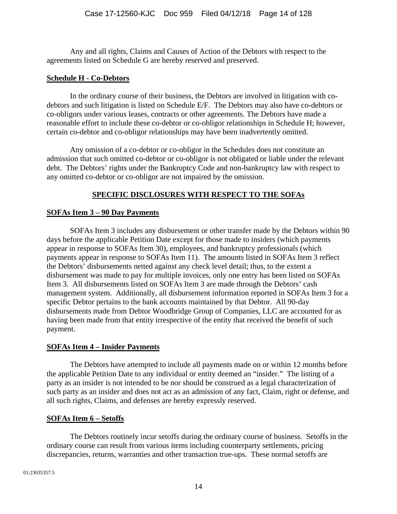Any and all rights, Claims and Causes of Action of the Debtors with respect to the agreements listed on Schedule G are hereby reserved and preserved.

### **Schedule H - Co-Debtors**

In the ordinary course of their business, the Debtors are involved in litigation with codebtors and such litigation is listed on Schedule E/F. The Debtors may also have co-debtors or co-obligors under various leases, contracts or other agreements. The Debtors have made a reasonable effort to include these co-debtor or co-obligor relationships in Schedule H; however, certain co-debtor and co-obligor relationships may have been inadvertently omitted.

Any omission of a co-debtor or co-obligor in the Schedules does not constitute an admission that such omitted co-debtor or co-obligor is not obligated or liable under the relevant debt. The Debtors' rights under the Bankruptcy Code and non-bankruptcy law with respect to any omitted co-debtor or co-obligor are not impaired by the omission.

# **SPECIFIC DISCLOSURES WITH RESPECT TO THE SOFAs**

# **SOFAs Item 3 – 90 Day Payments**

SOFAs Item 3 includes any disbursement or other transfer made by the Debtors within 90 days before the applicable Petition Date except for those made to insiders (which payments appear in response to SOFAs Item 30), employees, and bankruptcy professionals (which payments appear in response to SOFAs Item 11). The amounts listed in SOFAs Item 3 reflect the Debtors' disbursements netted against any check level detail; thus, to the extent a disbursement was made to pay for multiple invoices, only one entry has been listed on SOFAs Item 3. All disbursements listed on SOFAs Item 3 are made through the Debtors' cash management system. Additionally, all disbursement information reported in SOFAs Item 3 for a specific Debtor pertains to the bank accounts maintained by that Debtor. All 90-day disbursements made from Debtor Woodbridge Group of Companies, LLC are accounted for as having been made from that entity irrespective of the entity that received the benefit of such payment.

# **SOFAs Item 4 – Insider Payments**

The Debtors have attempted to include all payments made on or within 12 months before the applicable Petition Date to any individual or entity deemed an "insider." The listing of a party as an insider is not intended to be nor should be construed as a legal characterization of such party as an insider and does not act as an admission of any fact, Claim, right or defense, and all such rights, Claims, and defenses are hereby expressly reserved.

# **SOFAs Item 6 – Setoffs**

The Debtors routinely incur setoffs during the ordinary course of business. Setoffs in the ordinary course can result from various items including counterparty settlements, pricing discrepancies, returns, warranties and other transaction true-ups. These normal setoffs are